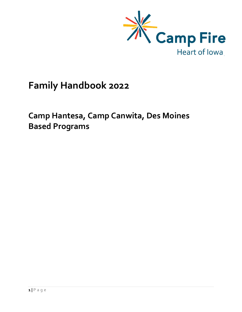

# Family Handbook 2022

Camp Hantesa, Camp Canwita, Des Moines Based Programs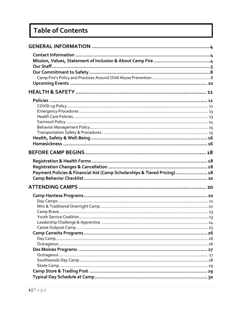# **Table of Contents**

| Payment Policies & Financial Aid (Camp Scholarships & Tiered Pricing)  18 |  |
|---------------------------------------------------------------------------|--|
|                                                                           |  |
|                                                                           |  |
|                                                                           |  |
|                                                                           |  |
|                                                                           |  |
|                                                                           |  |
|                                                                           |  |
|                                                                           |  |
|                                                                           |  |
|                                                                           |  |
|                                                                           |  |
|                                                                           |  |
|                                                                           |  |
|                                                                           |  |
|                                                                           |  |
|                                                                           |  |
|                                                                           |  |
|                                                                           |  |
|                                                                           |  |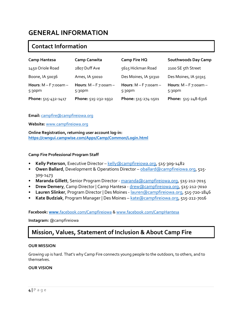## GENERAL INFORMATION

## Contact Information

| <b>Camp Hantesa</b>                           | <b>Camp Canwita</b>                  | Camp Fire HQ                         | <b>Southwoods Day Camp</b>           |
|-----------------------------------------------|--------------------------------------|--------------------------------------|--------------------------------------|
| 1450 Oriole Road                              | 2807 Duff Ave                        | 5615 Hickman Road                    | 2100 SE 5th Street                   |
| Boone, IA 50036                               | Ames, IA 50010                       | Des Moines, IA 50310                 | Des Moines, IA 50315                 |
| Hours: $M - F$ 7:00am -<br>5:30 <sub>pm</sub> | Hours: $M - F$ 7:00am -<br>$5:30$ pm | Hours: $M - F$ 7:00am -<br>$5:30$ pm | Hours: $M - F$ 7:00am -<br>$5:30$ pm |
| Phone: 515-432-1417                           | Phone: 515-232-1932                  | Phone: 515-274-1501                  | Phone: 515-248-6316                  |

#### Email: campfire@campfireiowa.org

Website: www.campfireiowa.org

Online Registration, returning user account log-in: https://cwngui.campwise.com/Apps/Camp/Common/Login.html

#### Camp Fire Professional Program Staff

- Kelly Peterson, Executive Director kelly@campfireiowa.org, 515-309-1482
- Owen Ballard, Development & Operations Director oballard@campfireiowa.org, 515-309-1473
- Maranda Gillett, Senior Program Director maranda @campfireiowa.org, 515-212-7015
- Drew Demery, Camp Director | Camp Hantesa drew@campfireiowa.org, 515-212-7010
- Lauren Slinker, Program Director | Des Moines lauren@campfireiowa.org, 515-720-1846
- Kate Budziak, Program Manager | Des Moines kate @campfireiowa.org, 515-212-7016

#### Facebook: www.facebook.com/Campfireiowa & www.facebook.com/CampHantesa

Instagram: @campfireiowa

## Mission, Values, Statement of Inclusion & About Camp Fire

#### OUR MISSION

Growing up is hard. That's why Camp Fire connects young people to the outdoors, to others, and to themselves.

#### OUR VISION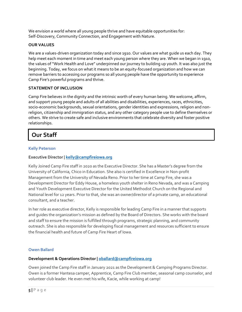We envision a world where all young people thrive and have equitable opportunities for: Self-Discovery, Community Connection, and Engagement with Nature.

#### OUR VALUES

We are a values-driven organization today and since 1910. Our values are what guide us each day. They help meet each moment in time and meet each young person where they are. When we began in 1910, the values of "Work Health and Love" underpinned our journey to building up youth. It was also just the beginning. Today, we focus on what it means to be an equity-focused organization and how we can remove barriers to accessing our programs so all young people have the opportunity to experience Camp Fire's powerful programs and thrive.

#### STATEMENT OF INCLUSION

Camp Fire believes in the dignity and the intrinsic worth of every human being. We welcome, affirm, and support young people and adults of all abilities and disabilities, experiences, races, ethnicities, socio-economic backgrounds, sexual orientations, gender identities and expressions, religion and nonreligion, citizenship and immigration status, and any other category people use to define themselves or others. We strive to create safe and inclusive environments that celebrate diversity and foster positive relationships.

## Our Staff

#### Kelly Peterson

#### Executive Director | kelly@campfireiowa.org

Kelly Joined Camp Fire staff in 2020 as the Executive Director. She has a Master's degree from the University of California, Chico in Education. She also is certified in Excellence in Non-profit Management from the University of Nevada Reno. Prior to her time at Camp Fire, she was a Development Director for Eddy House, a homeless youth shelter in Reno Nevada, and was a Camping and Youth Development Executive Director for the United Methodist Church on the Regional and National level for 12 years. Prior to that, she was an owner/director of a private camp, an educational consultant, and a teacher.

In her role as executive director, Kelly is responsible for leading Camp Fire in a manner that supports and guides the organization's mission as defined by the Board of Directors. She works with the board and staff to ensure the mission is fulfilled through programs, strategic planning, and community outreach. She is also responsible for developing fiscal management and resources sufficient to ensure the financial health and future of Camp Fire Heart of Iowa.

#### Owen Ballard

#### Development & Operations Director | oballard@campfireiowa.org

Owen joined the Camp Fire staff in January 2021 as the Development & Camping Programs Director. Owen is a former Hantesa camper, Apprentice, Camp Fire Club member, seasonal camp counselor, and volunteer club leader. He even met his wife, Kacie, while working at camp!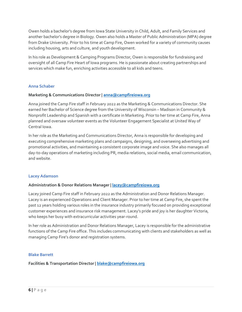Owen holds a bachelor's degree from Iowa State University in Child, Adult, and Family Services and another bachelor's degree in Biology. Owen also holds a Master of Public Administration (MPA) degree from Drake University. Prior to his time at Camp Fire, Owen worked for a variety of community causes including housing, arts and culture, and youth development.

In his role as Development & Camping Programs Director, Owen is responsible for fundraising and oversight of all Camp Fire Heart of Iowa programs. He is passionate about creating partnerships and services which make fun, enriching activities accessible to all kids and teens.

#### Anna Schaber

#### Marketing & Communications Director | anna@campfireiowa.org

Anna joined the Camp Fire staff in February 2022 as the Marketing & Communications Director. She earned her Bachelor of Science degree from the University of Wisconsin – Madison in Community & Nonprofit Leadership and Spanish with a certificate in Marketing. Prior to her time at Camp Fire, Anna planned and oversaw volunteer events as the Volunteer Engagement Specialist at United Way of Central Iowa.

In her role as the Marketing and Communications Director, Anna is responsible for developing and executing comprehensive marketing plans and campaigns, designing, and overseeing advertising and promotional activities, and maintaining a consistent corporate image and voice. She also manages all day-to-day operations of marketing including PR, media relations, social media, email communication, and website.

#### Lacey Adamson

#### Administration & Donor Relations Manager | lacey@campfireiowa.org

Lacey joined Camp Fire staff in February 2022 as the Administration and Donor Relations Manager. Lacey is an experienced Operations and Client Manager. Prior to her time at Camp Fire, she spent the past 12 years holding various roles in the insurance industry primarily focused on providing exceptional customer experiences and insurance risk management. Lacey's pride and joy is her daughter Victoria, who keeps her busy with extracurricular activities year-round.

In her role as Administration and Donor Relations Manager, Lacey is responsible for the administrative functions of the Camp Fire office. This includes communicating with clients and stakeholders as well as managing Camp Fire's donor and registration systems.

#### Blake Barrett

Facilities & Transportation Director | blake@campfireiowa.org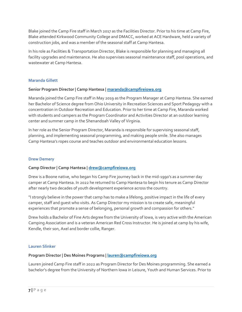Blake joined the Camp Fire staff in March 2017 as the Facilities Director. Prior to his time at Camp Fire, Blake attended Kirkwood Community College and DMACC, worked at ACE Hardware, held a variety of construction jobs, and was a member of the seasonal staff at Camp Hantesa.

In his role as Facilities & Transportation Director, Blake is responsible for planning and managing all facility upgrades and maintenance. He also supervises seasonal maintenance staff, pool operations, and wastewater at Camp Hantesa.

#### Maranda Gillett

#### Senior Program Director | Camp Hantesa | maranda@campfireiowa.org

Maranda joined the Camp Fire staff in May 2019 as the Program Manager at Camp Hantesa. She earned her Bachelor of Science degree from Ohio University in Recreation Sciences and Sport Pedagogy with a concentration in Outdoor Recreation and Education. Prior to her time at Camp Fire, Maranda worked with students and campers as the Program Coordinator and Activities Director at an outdoor learning center and summer camp in the Shenandoah Valley of Virginia.

In her role as the Senior Program Director, Maranda is responsible for supervising seasonal staff, planning, and implementing seasonal programming, and making people smile. She also manages Camp Hantesa's ropes course and teaches outdoor and environmental education lessons.

#### Drew Demery

#### Camp Director | Camp Hantesa | drew@campfireiowa.org

Drew is a Boone native, who began his Camp Fire journey back in the mid-1990's as a summer day camper at Camp Hantesa. In 2022 he returned to Camp Hantesa to begin his tenure as Camp Director after nearly two decades of youth development experience across the country.

"I strongly believe in the power that camp has to make a lifelong, positive impact in the life of every camper, staff and guest who visits. As Camp Director my mission is to create safe, meaningful experiences that promote a sense of belonging, personal growth and compassion for others."

Drew holds a Bachelor of Fine Arts degree from the University of Iowa, is very active with the American Camping Association and is a veteran American Red Cross Instructor. He is joined at camp by his wife, Kendle, their son, Axel and border collie, Ranger.

#### Lauren Slinker

#### Program Director | Des Moines Programs | lauren@campfireiowa.org

Lauren joined Camp Fire staff in 2022 as Program Director for Des Moines programming. She earned a bachelor's degree from the University of Northern Iowa in Leisure, Youth and Human Services. Prior to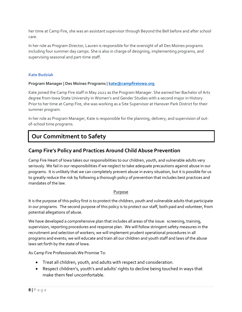her time at Camp Fire, she was an assistant supervisor through Beyond the Bell before and after school care.

In her role as Program Director, Lauren is responsible for the oversight of all Des Moines programs including four summer day camps. She is also in charge of designing, implementing programs, and supervising seasonal and part-time staff.

#### Kate Budziak

#### Program Manager | Des Moines Programs | kate@campfireiowa.org

Kate joined the Camp Fire staff in May 2022 as the Program Manager. She earned her Bachelor of Arts degree from Iowa State University in Women's and Gender Studies with a second major in History. Prior to her time at Camp Fire, she was working as a Site Supervisor at Hanover Park District for their summer program.

In her role as Program Manager, Kate is responsible for the planning, delivery, and supervision of outof-school time programs.

## Our Commitment to Safety

### Camp Fire's Policy and Practices Around Child Abuse Prevention

Camp Fire Heart of Iowa takes our responsibilities to our children, youth, and vulnerable adults very seriously. We fail in our responsibilities if we neglect to take adequate precautions against abuse in our programs. It is unlikely that we can completely prevent abuse in every situation, but it is possible for us to greatly reduce the risk by following a thorough policy of prevention that includes best practices and mandates of the law.

#### Purpose

It is the purpose of this policy first is to protect the children, youth and vulnerable adults that participate in our programs. The second purpose of this policy is to protect our staff, both paid and volunteer, from potential allegations of abuse.

We have developed a comprehensive plan that includes all areas of the issue: screening, training, supervision, reporting procedures and response plan. We will follow stringent safety measures in the recruitment and selection of workers; we will implement prudent operational procedures in all programs and events; we will educate and train all our children and youth staff and laws of the abuse laws set forth by the state of Iowa.

As Camp Fire Professionals We Promise To:

- Treat all children, youth, and adults with respect and consideration.
- Respect children's, youth's and adults' rights to decline being touched in ways that make them feel uncomfortable.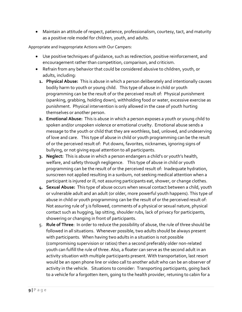Maintain an attitude of respect, patience, professionalism, courtesy, tact, and maturity as a positive role model for children, youth, and adults.

Appropriate and Inappropriate Actions with Our Campers:

- Use positive techniques of guidance, such as redirection, positive reinforcement, and encouragement rather than competition, comparison, and criticism.
- Refrain from any behavior that could be considered abusive to children, youth, or adults, including:
	- 1. Physical Abuse: This is abuse in which a person deliberately and intentionally causes bodily harm to youth or young child. This type of abuse in child or youth programming can be the result of or the perceived result of: Physical punishment (spanking, grabbing, holding down), withholding food or water, excessive exercise as punishment. Physical intervention is only allowed in the case of youth hurting themselves or another person.
	- 2. Emotional Abuse: This is abuse in which a person exposes a youth or young child to spoken and/or unspoken violence or emotional cruelty. Emotional abuse sends a message to the youth or child that they are worthless, bad, unloved, and undeserving of love and care. This type of abuse in child or youth programming can be the result of or the perceived result of: Put downs, favorites, nicknames, ignoring signs of bullying, or not giving equal attention to all participants.
	- 3. Neglect: This is abuse in which a person endangers a child's or youth's health, welfare, and safety through negligence. This type of abuse in child or youth programming can be the result of or the perceived result of: Inadequate hydration, sunscreen not applied resulting in a sunburn, not seeking medical attention when a participant is injured or ill, not assuring participants eat, shower, or change clothes.
	- 4. Sexual Abuse: This type of abuse occurs when sexual contact between a child, youth or vulnerable adult and an adult (or older, more powerful youth happens). This type of abuse in child or youth programming can be the result of or the perceived result of: Not assuring rule of 3 is followed, comments of a physical or sexual nature, physical contact such as hugging, lap sitting, shoulder rubs, lack of privacy for participants, showering or changing in front of participants.
	- 5. Rule of Three: In order to reduce the possibility of abuse, the rule of three should be followed in all situations. Whenever possible, two adults should be always present with participants. When having two adults in a situation is not possible (compromising supervision or ratios) then a second preferably older non-related youth can fulfill the rule of three. Also, a floater can serve as the second adult in an activity situation with multiple participants present. With transportation, last resort would be an open phone line or video call to another adult who can be an observer of activity in the vehicle. Situations to consider: Transporting participants, going back to a vehicle for a forgotten item, going to the health provider, retuning to cabin for a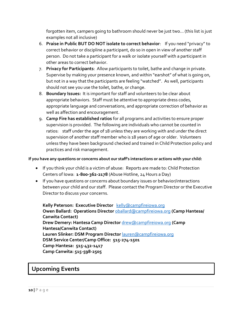forgotten item, campers going to bathroom should never be just two… (this list is just examples not all inclusive)

- 6. Praise in Public BUT DO NOT isolate to correct behavior: If you need "privacy" to correct behavior or discipline a participant, do so in open in view of another staff person. Do not take a participant for a walk or isolate yourself with a participant in other areas to correct behavior.
- 7. Privacy for Participants: Allow participants to toilet, bathe and change in private. Supervise by making your presence known, and within "earshot" of what is going on, but not in a way that the participants are feeling "watched". As well, participants should not see you use the toilet, bathe, or change.
- 8. Boundary Issues: It is important for staff and volunteers to be clear about appropriate behaviors. Staff must be attentive to appropriate dress codes, appropriate language and conversations, and appropriate correction of behavior as well as affection and encouragement.
- 9. Camp Fire has established ratios for all programs and activities to ensure proper supervision is provided. The following are individuals who cannot be counted in ratios: staff under the age of 18 unless they are working with and under the direct supervision of another staff member who is 18 years of age or older. Volunteers unless they have been background checked and trained in Child Protection policy and practices and risk management.

#### If you have any questions or concerns about our staff's interactions or actions with your child:

- If you think your child is a victim of abuse: Reports are made to: Child Protection Centers of Iowa: 1-800-362-2178 (Abuse Hotline, 24 Hours a Day)
- If you have questions or concerns about boundary issues or behavior/interactions between your child and our staff. Please contact the Program Director or the Executive Director to discuss your concerns.

Kelly Peterson: Executive Director kelly@campfireiowa.org Owen Ballard: Operations Director **oballard@campfireiowa.org** (Camp Hantesa/ Canwita Contact) Drew Demery: Hantesa Camp Director *drew* @campfireiowa.org (Camp Hantesa/Canwita Contact) Lauren Slinker: DSM Program Director **lauren@campfireiowa.org** DSM Service Center/Camp Office: 515-274-1501 Camp Hantesa: 515-432-1417 Camp Canwita: 515-598-2505

## Upcoming Events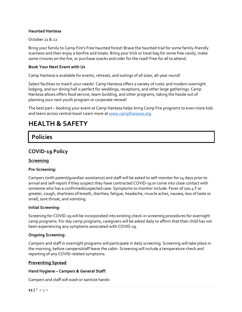#### Haunted Hantesa

#### October 21 & 22

Bring your family to Camp Fire's Free haunted forest! Brave the haunted trail for some family-friendly scariness and then enjoy a bonfire and treats. Bring your trick or treat bag for some free candy, make some s'mores on the fire, or purchase snacks and cider for the road! Free for all to attend.

#### Book Your Next Event with Us

Camp Hantesa is available for events, retreats, and outings of all sizes, all-year round!

Select facilities to match your needs! Camp Hantesa offers a variety of rustic and modern overnight lodging, and our dining hall is perfect for weddings, receptions, and other large gatherings. Camp Hantesa allows offers food service, team-building, and other programs, taking the hassle out of planning your next youth program or corporate retreat!

The best part – booking your event at Camp Hantesa helps bring Camp Fire programs to even more kids and teens across central Iowa! Learn more at www.campfireiowa.org

## HEALTH & SAFETY

## Policies

### COVID-19 Policy

#### Screening

#### Pre-Screening:

Campers (with parent/guardian assistance) and staff will be asked to self-monitor for 14 days prior to arrival and self-report if they suspect they have contracted COVID-19 or come into close contact with someone who has a confirmed/suspected case. Symptoms to monitor include: Fever of 100.4 F or greater, cough, shortness of breath, diarrhea, fatigue, headache, muscle aches, nausea, loss of taste or smell, sore throat, and vomiting.

#### Initial Screening:

Screening for COVID-19 will be incorporated into existing check-in screening procedures for overnight camp programs. For day camp programs, caregivers will be asked daily to affirm that their child has not been experiencing any symptoms associated with COVID-19.

#### Ongoing Screening:

Campers and staff in overnight programs will participate in daily screening. Screening will take place in the morning, before campers/staff leave the cabin. Screening will include a temperature check and reporting of any COVID-related symptoms.

#### Preventing Spread

#### Hand Hygiene – Campers & General Staff:

Campers and staff will wash or sanitize hands: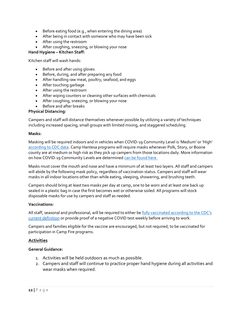- Before eating food (e.g., when entering the dining area)
- After being in contact with someone who may have been sick
- After using the restroom
- After coughing, sneezing, or blowing your nose

#### Hand Hygiene – Kitchen Staff:

Kitchen staff will wash hands:

- Before and after using gloves
- Before, during, and after preparing any food
- After handling raw meat, poultry, seafood, and eggs
- After touching garbage
- After using the restroom
- After wiping counters or cleaning other surfaces with chemicals
- After coughing, sneezing, or blowing your nose
- Before and after breaks

#### Physical Distancing:

Campers and staff will distance themselves whenever possible by utilizing a variety of techniques including increased spacing, small groups with limited mixing, and staggered scheduling.

#### Masks:

Masking will be required indoors and in vehicles when COVID-19 Community Level is 'Medium' or 'High' according to CDC data. Camp Hantesa programs will require masks whenever Polk, Story, or Boone county are at medium or high risk as they pick up campers from those locations daily. More information on how COVID-19 Community Levels are determined can be found here.

Masks must cover the mouth and nose and have a minimum of at least two layers. All staff and campers will abide by the following mask policy, regardless of vaccination status. Campers and staff will wear masks in all indoor locations other than while eating, sleeping, showering, and brushing teeth.

Campers should bring at least two masks per day at camp, one to be worn and at least one back up sealed in a plastic bag in case the first becomes wet or otherwise soiled. All programs will stock disposable masks for use by campers and staff as needed.

#### Vaccinations:

All staff, seasonal and professional, will be required to either be fully vaccinated according to the CDC's current definition or provide proof of a negative COVID test weekly before arriving to work.

Campers and families eligible for the vaccine are encouraged, but not required, to be vaccinated for participation in Camp Fire programs.

#### **Activities**

#### General Guidance:

- 1. Activities will be held outdoors as much as possible.
- 2. Campers and staff will continue to practice proper hand hygiene during all activities and wear masks when required.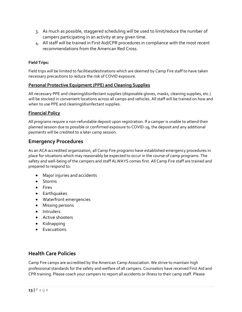- 3. As much as possible, staggered scheduling will be used to limit/reduce the number of campers participating in an activity at any given time.
- 4. All staff will be trained in First Aid/CPR procedures in compliance with the most recent recommendations from the American Red Cross.

#### Field Trips:

Field trips will be limited to facilities/destinations which are deemed by Camp Fire staff to have taken necessary precautions to reduce the risk of COVID exposure.

#### Personal Protective Equipment (PPE) and Cleaning Supplies

All necessary PPE and cleaning/disinfectant supplies (disposable gloves, masks, cleaning supplies, etc.) will be stocked in convenient locations across all camps and vehicles. All staff will be trained on how and when to use PPE and cleaning/disinfectant supplies.

#### Financial Policy

All programs require a non-refundable deposit upon registration. If a camper is unable to attend their planned session due to possible or confirmed exposure to COVID-19, the deposit and any additional payments will be credited to a later camp session.

### Emergency Procedures

As an ACA accredited organization, all Camp Fire programs have established emergency procedures in place for situations which may reasonably be expected to occur in the course of camp programs. The safety and well-being of the campers and staff ALWAYS comes first. All Camp Fire staff are trained and prepared to respond to:

- Major injuries and accidents
- Storms
- Fires
- **•** Earthquakes
- Waterfront emergencies
- Missing persons
- Intruders
- Active shooters
- Kidnapping
- Evacuations

### Health Care Policies

Camp Fire camps are accredited by the American Camp Association. We strive to maintain high professional standards for the safety and welfare of all campers. Counselors have received First Aid and CPR training. Please coach your campers to report all accidents or illness to their camp staff. Please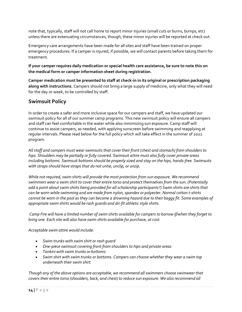note that, typically, staff will not call home to report minor injuries (small cuts or burns, bumps, etc) unless there are extenuating circumstances, though, these minor injuries will be reported at check out.

Emergency care arrangements have been made for all sites and staff have been trained on proper emergency procedures. If a camper is injured, if possible, we will contact parents before taking them for treatment.

If your camper requires daily medication or special health care assistance, be sure to note this on the medical form or camper information sheet during registration.

Camper medication must be presented to staff at check-in in its original or prescription packaging along with instructions. Campers should not bring a large supply of medicine, only what they will need for the day or week, to be controlled by staff.

## Swimsuit Policy

In order to create a safer and more inclusive space for our campers and staff, we have updated our swimsuit policy for all of our summer camp programs. This new swimsuit policy will ensure all campers and staff can feel comfortable in the water while also minimizing sun exposure. Camp staff will continue to assist campers, as needed, with applying sunscreen before swimming and reapplying at regular intervals. Please read below for the full policy which will take effect in the summer of 2022 program.

All staff and campers must wear swimsuits that cover their front (chest and stomach) from shoulders to hips. Shoulders may be partially or fully covered. Swimsuit attire must also fully cover private areas including bottoms. Swimsuit bottoms should be properly sized and stay on the hips, hands-free. Swimsuits with straps should have straps that do not untie, unclip, or unzip.

While not required, swim shirts will provide the most protection from sun exposure. We recommend swimmers wear a swim shirt to cover their entire torso and protect themselves from the sun. (Potentially add a point about swim shirts being provided for all scholarship participants?) Swim shirts are shirts that can be worn while swimming and are made from nylon, spandex or polyester. Normal cotton t-shirts cannot be worn in the pool as they can become a drowning hazard due to their baggy fit. Some examples of appropriate swim shirts would be rash guards and dri-fit athletic style shirts.

 Camp Fire will have a limited number of swim shirts available for campers to borrow if/when they forget to bring one. Each site will also have swim shirts available for purchase, at cost.

Acceptable swim attire would include:

- Swim trunks with swim shirt or rash guard
- One-piece swimsuit covering front from shoulders to hips and private areas
- Tankini with swim trunks or bottoms
- Swim shirt with swim trunks or bottoms. Campers can choose whether they wear a swim top underneath their swim shirt.

Though any of the above options are acceptable, we recommend all swimmers choose swimwear that covers their entire torso (shoulders, back, and chest) to reduce sun exposure. We also recommend all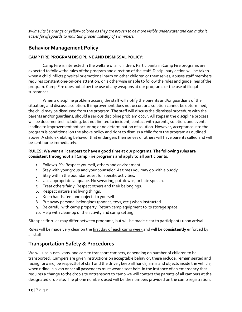swimsuits be orange or yellow-colored as they are proven to be more visible underwater and can make it easier for lifeguards to maintain proper visibility of swimmers.

### Behavior Management Policy

#### CAMP FIRE PROGRAM DISCIPLINE AND DISMISSAL POLICY:

Camp Fire is interested in the welfare of all children. Participants in Camp Fire programs are expected to follow the rules of the program and direction of the staff. Disciplinary action will be taken when a child inflicts physical or emotional harm on other children or themselves, abuses staff members, requires constant one-on-one attention, or is otherwise unable to follow the rules and guidelines of the program. Camp Fire does not allow the use of any weapons at our programs or the use of illegal substances.

When a discipline problem occurs, the staff will notify the parents and/or guardians of the situation, and discuss a solution. If improvement does not occur, or a solution cannot be determined, the child may be dismissed from the program. The staff will discuss the dismissal procedure with the parents and/or guardians, should a serious discipline problem occur. All steps in the discipline process will be documented including, but not limited to incident, contact with parents, solution, and events leading to improvement not occurring or no determination of solution. However, acceptance into the program is conditional on the above policy and right to dismiss a child from the program as outlined above. A child exhibiting behavior that endangers themselves or others will have parents called and will be sent home immediately.

#### RULES: We want all campers to have a good time at our programs. The following rules are consistent throughout all Camp Fire programs and apply to all participants.

- 1. Follow 3 R's; Respect yourself, others and environment.
- 2. Stay with your group and your counselor. At times you may go with a buddy.
- 3. Stay within the boundaries set for specific activities.
- 4. Use appropriate language. No swearing, put-downs, or hate speech.
- 5. Treat others fairly. Respect others and their belongings.
- 6. Respect nature and living things.
- 7. Keep hands, feet and objects to yourself.
- 8. Put away personal belongings (phones, toys, etc.) when instructed.
- 9. Be careful with camp property. Return camp equipment to its storage space.
- 10. Help with clean-up of the activity and camp setting.

Site specific rules may differ between programs, but will be made clear to participants upon arrival.

Rules will be made very clear on the first day of each camp week and will be consistently enforced by all staff.

### Transportation Safety & Procedures

We will use buses, vans, and cars to transport campers, depending on number of children to be transported. Campers are given instructions on acceptable behavior, these include, remain seated and facing forward, be respectful of staff and the driver, keep all hands, arms and objects inside the vehicle, when riding in a van or car all passengers must wear a seat belt. In the instance of an emergency that requires a change to the drop site or transport to camp we will contact the parents of all campers at the designated drop site. The phone numbers used will be the numbers provided on the camp registration.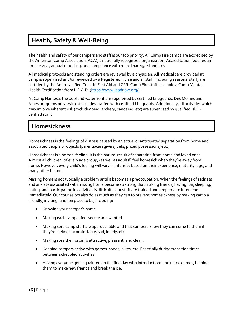## Health, Safety & Well-Being

The health and safety of our campers and staff is our top priority. All Camp Fire camps are accredited by the American Camp Association (ACA), a nationally recognized organization. Accreditation requires an on-site visit, annual reporting, and compliance with more than 150 standards.

All medical protocols and standing orders are reviewed by a physician. All medical care provided at camp is supervised and/or reviewed by a Registered Nurse and all staff, including seasonal staff, are certified by the American Red Cross in First Aid and CPR. Camp Fire staff also hold a Camp Mental Health Certification from L.E.A.D. (https://www.leadnow.org/).

At Camp Hantesa, the pool and waterfront are supervised by certified Lifeguards. Des Moines and Ames programs only swim at facilities staffed with certified Lifeguards. Additionally, all activities which may involve inherent risk (rock climbing, archery, canoeing, etc) are supervised by qualified, skillverified staff.

## Homesickness

Homesickness is the feelings of distress caused by an actual or anticipated separation from home and associated people or objects (parents/caregivers, pets, prized possessions, etc.).

Homesickness is a normal feeling. It is the natural result of separating from home and loved ones. Almost all children, of every age group, (as well as adults!) feel homesick when they're away from home. However, every child's feeling will vary in intensity based on their experience, maturity, age, and many other factors.

Missing home is not typically a problem until it becomes a preoccupation. When the feelings of sadness and anxiety associated with missing home become so strong that making friends, having fun, sleeping, eating, and participating in activities is difficult – our staff are trained and prepared to intervene immediately. Our counselors also do as much as they can to prevent homesickness by making camp a friendly, inviting, and fun place to be, including:

- Knowing your camper's name.
- Making each camper feel secure and wanted.
- Making sure camp staff are approachable and that campers know they can come to them if they're feeling uncomfortable, sad, lonely, etc.
- Making sure their cabin is attractive, pleasant, and clean.
- Keeping campers active with games, songs, hikes, etc. Especially during transition times between scheduled activities.
- Having everyone get acquainted on the first day with introductions and name games, helping them to make new friends and break the ice.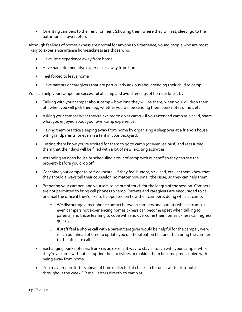Orienting campers to their environment (showing them where they will eat, sleep, go to the bathroom, shower, etc.).

Although feelings of homesickness are normal for anyone to experience, young people who are most likely to experience intense homesickness are those who:

- Have little experience away from home
- Have had prior negative experiences away from home
- Feel forced to leave home
- Have parents or caregivers that are particularly anxious about sending their child to camp

You can help your camper be successful at camp and avoid feelings of homesickness by:

- Talking with your camper about camp how long they will be there, when you will drop them off, when you will pick them up, whether you will be sending them bunk notes or not, etc.
- Asking your camper what they're excited to do at camp If you attended camp as a child, share what you enjoyed about your own camp experience.
- Having them practice sleeping away from home by organizing a sleepover at a friend's house, with grandparents, or even in a tent in your backyard.
- Letting them know you're excited for them to go to camp (or even jealous!) and reassuring them that their days will be filled with a lot of new, exciting activities.
- Attending an open house or scheduling a tour of camp with our staff so they can see the property before you drop off.
- Coaching your camper to self-advocate if they feel hungry, sick, sad, etc. let them know that they should always tell their counselor, no matter how small the issue, so they can help them.
- Preparing your camper, and yourself, to be out of touch for the length of the session. Campers are not permitted to bring cell phones to camp. Parents and caregivers are encouraged to call or email the office if they'd like to be updated on how their camper is doing while at camp.
	- o We discourage direct phone contact between campers and parents while at camp as even campers not experiencing homesickness can become upset when talking to parents, and those learning to cope with and overcome their homesickness can regress quickly.
	- $\circ$  If staff feel a phone call with a parent/caregiver would be helpful for the camper, we will reach out ahead of time to update you on the situation first and then bring the camper to the office to call.
- Exchanging bunk notes via Bunk1 is an excellent way to stay in touch with your camper while they're at camp without disrupting their activities or making them become preoccupied with being away from home.
- You may prepare letters ahead of time (collected at check in) for our staff to distribute throughout the week OR mail letters directly to camp at: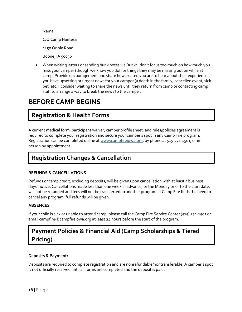Name C/O Camp Hantesa 1450 Oriole Road Boone, IA 50036

 When writing letters or sending bunk notes via Bunk1, don't focus too much on how much you miss your camper (though we know you do!) or things they may be missing out on while at camp. Provide encouragement and share how excited you are to hear about their experience. If you have upsetting or urgent news for your camper (a death in the family, cancelled event, sick pet, etc.), consider waiting to share the news until they return from camp or contacting camp staff to arrange a way to break the news to the camper.

## BEFORE CAMP BEGINS

## Registration & Health Forms

A current medical form, participant waiver, camper profile sheet, and rules/policies agreement is required to complete your registration and secure your camper's spot in any Camp Fire program. Registration can be completed online at www.campfireiowa.org, by phone at 515-274-1501, or inperson by appointment.

## Registration Changes & Cancellation

#### REFUNDS & CANCELLATIONS

Refunds or camp credit, excluding deposits, will be given upon cancellation with at least 5 business days' notice. Cancellations made less than one week in advance, or the Monday prior to the start date, will not be refunded and fees will not be transferred to another program. If Camp Fire finds the need to cancel any program, full refunds will be given.

#### ABSENCES

If your child is sick or unable to attend camp, please call the Camp Fire Service Center (515) 274-1501 or email campfire@campfireiowa.org at least 24 hours before the start of the program.

## Payment Policies & Financial Aid (Camp Scholarships & Tiered Pricing)

#### Deposits & Payment:

Deposits are required to complete registration and are nonrefundable/nontransferable. A camper's spot is not officially reserved until all forms are completed and the deposit is paid.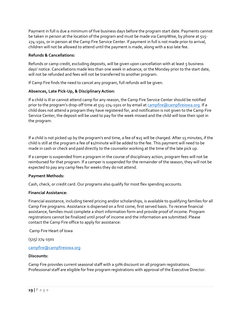Payment in full is due a minimum of five business days before the program start date. Payments cannot be taken in person at the location of the program and must be made via CampWise, by phone at 515- 274-1501, or in person at the Camp Fire Service Center. If payment in full is not made prior to arrival, children will not be allowed to attend until the payment is made, along with a \$10 late fee.

#### Refunds & Cancellations:

Refunds or camp credit, excluding deposits, will be given upon cancellation with at least 5 business days' notice. Cancellations made less than one week in advance, or the Monday prior to the start date, will not be refunded and fees will not be transferred to another program.

If Camp Fire finds the need to cancel any program, full refunds will be given.

#### Absences, Late Pick-Up, & Disciplinary Action:

If a child is ill or cannot attend camp for any reason, the Camp Fire Service Center should be notified prior to the program's drop-off time at 515-274-1501 or by email at campfire@campfireiowa.org. If a child does not attend a program they have registered for, and notification is not given to the Camp Fire Service Center, the deposit will be used to pay for the week missed and the child will lose their spot in the program.

If a child is not picked up by the program's end time, a fee of \$15 will be charged. After 15 minutes, if the child is still at the program a fee of \$1/minute will be added to the fee. This payment will need to be made in cash or check and paid directly to the counselor working at the time of the late pick up.

If a camper is suspended from a program in the course of disciplinary action, program fees will not be reimbursed for that program. If a camper is suspended for the remainder of the season, they will not be expected to pay any camp fees for weeks they do not attend.

#### Payment Methods:

Cash, check, or credit card. Our programs also qualify for most flex spending accounts.

#### Financial Assistance:

Financial assistance, including tiered pricing and/or scholarships, is available to qualifying families for all Camp Fire programs. Assistance is dispersed on a first come, first served basis. To receive financial assistance, families must complete a short information form and provide proof of income. Program registrations cannot be finalized until proof of income and the information are submitted. Please contact the Camp Fire office to apply for assistance:

Camp Fire Heart of Iowa

(515) 274-1501

#### campfire@campfireiowa.org

#### Discounts:

Camp Fire provides current seasonal staff with a 50% discount on all program registrations. Professional staff are eligible for free program registrations with approval of the Executive Director.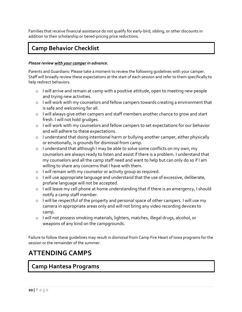Families that receive financial assistance do not qualify for early-bird, sibling, or other discounts in addition to their scholarship or tiered-pricing price reductions.

## Camp Behavior Checklist

#### Please review with your camper in advance.

Parents and Guardians: Please take a moment to review the following guidelines with your camper. Staff will broadly review these expectations at the start of each session and refer to them specifically to help redirect behaviors.

- o I will arrive and remain at camp with a positive attitude, open to meeting new people and trying new activities.
- o I will work with my counselors and fellow campers towards creating a environment that is safe and welcoming for all.
- o I will always give other campers and staff members another chance to grow and start fresh. I will not hold grudges.
- o I will work with my counselors and fellow campers to set expectations for our behavior and will adhere to these expectations.
- o I understand that doing intentional harm or bullying another camper, either physically or emotionally, is grounds for dismissal from camp.
- o I understand that although I may be able to solve some conflicts on my own, my counselors are always ready to listen and assist if there is a problem. I understand that my counselors and all the camp staff need and want to help but can only do so if I am willing to share any concerns that I have with them.
- o I will remain with my counselor or activity group as required.
- o I will use appropriate language and understand that the use of excessive, deliberate, profane language will not be accepted.
- o I will leave my cell phone at home understanding that if there is an emergency, I should notify a camp staff member.
- o I will be respectful of the property and personal space of other campers. I will use my camera in appropriate areas only and will not bring any video recording devices to camp.
- o I will not possess smoking materials, lighters, matches, illegal drugs, alcohol, or weapons of any kind on the campgrounds.

Failure to follow these guidelines may result in dismissal from Camp Fire Heart of Iowa programs for the session or the remainder of the summer.

## ATTENDING CAMPS

## Camp Hantesa Programs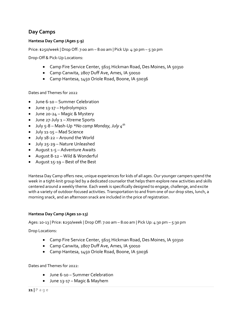### Day Camps

#### Hantesa Day Camp (Ages 5-9)

Price: \$250/week | Drop Off: 7:00 am – 8:00 am | Pick Up: 4:30 pm – 5:30 pm

Drop-Off & Pick-Up Locations:

- Camp Fire Service Center, 5615 Hickman Road, Des Moines, IA 50310
- Camp Canwita, 2807 Duff Ave, Ames, IA 50010
- Camp Hantesa, 1450 Oriole Road, Boone, IA 50036

Dates and Themes for 2022

- June 6-10 Summer Celebration
- June 13-17 Hydrolympics
- June 20-24 Magic & Mystery
- June 27-July 1 Xtreme Sports
- July 5-8 Mash-Up \*No camp Monday, July  $4^{th}$
- July 11-15 Mad Science
- July 18-22 Around the World
- July 25-29 Nature Unleashed
- August 1-5 Adventure Awaits
- August 8-12 Wild & Wonderful
- August 15-19 Best of the Best

Hantesa Day Camp offers new, unique experiences for kids of all ages. Our younger campers spend the week in a tight-knit group led by a dedicated counselor that helps them explore new activities and skills centered around a weekly theme. Each week is specifically designed to engage, challenge, and excite with a variety of outdoor-focused activities. Transportation to and from one of our drop sites, lunch, a morning snack, and an afternoon snack are included in the price of registration.

#### Hantesa Day Camp (Ages 10-13)

Ages: 10-13 | Price: \$250/week | Drop Off: 7:00 am – 8:00 am | Pick Up: 4:30 pm – 5:30 pm

Drop Locations:

- Camp Fire Service Center, 5615 Hickman Road, Des Moines, IA 50310
- Camp Canwita, 2807 Duff Ave, Ames, IA 50010
- Camp Hantesa, 1450 Oriole Road, Boone, IA 50036

Dates and Themes for 2022:

- June 6-10 Summer Celebration
- June 13-17 Magic & Mayhem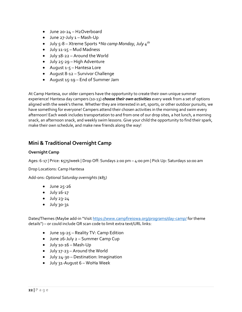- June 20-24 H2Overboard
- $\bullet$  June 27-July  $1 -$  Mash-Up
- July 5-8 Xtreme Sports \*No camp Monday, July  $4^{th}$
- July 11-15 Mud Madness
- July 18-22 Around the World
- July 25-29 High Adventure
- August 1-5 Hantesa Lore
- August 8-12 Survivor Challenge
- August 15-19 End of Summer Jam

At Camp Hantesa, our older campers have the opportunity to create their own unique summer experience! Hantesa day campers (10-13) *choose their own activities* every week from a set of options aligned with the week's theme. Whether they are interested in art, sports, or other outdoor pursuits, we have something for everyone! Campers attend their chosen activities in the morning and swim every afternoon! Each week includes transportation to and from one of our drop sites, a hot lunch, a morning snack, an afternoon snack, and weekly swim lessons. Give your child the opportunity to find their spark, make their own schedule, and make new friends along the way!

### Mini & Traditional Overnight Camp

#### Overnight Camp

Ages: 6-17 | Price: \$575/week | Drop Off: Sundays 2:00 pm – 4:00 pm | Pick Up: Saturdays 10:00 am

#### Drop Locations: Camp Hantesa

Add-ons: Optional Saturday overnights (\$85)

- $\bullet$  June 25-26
- July 16-17
- $\bullet$  July 23-24
- $\bullet$  July 30-31

Dates/Themes (Maybe add-in "Visit https://www.campfireiowa.org/programs/day-camp/ for theme details") – or could include QR scan code to limit extra text/URL links:

- June 19-25 Reality TV: Camp Edition
- June 26-July 2 Summer Camp Cup
- July 10-16 Mash-Up
- July 17-23 Around the World
- July 24-30 Destination: Imagination
- July 31-August 6 WoHa Week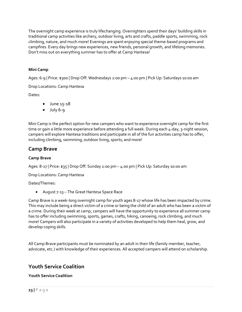The overnight camp experience is truly lifechanging. Overnighters spend their days' building skills in traditional camp activities like archery, outdoor living, arts and crafts, paddle sports, swimming, rock climbing, nature, and much more! Evenings are spent enjoying special theme-based programs and campfires. Every day brings new experiences, new friends, personal growth, and lifelong memories. Don't miss out on everything summer has to offer at Camp Hantesa!

#### Mini Camp

Ages: 6-9 | Price: \$300 | Drop Off: Wednesdays 2:00 pm – 4:00 pm | Pick Up: Saturdays 10:00 am

Drop Locations: Camp Hantesa

Dates:

- June 15-18
- $\bullet$  July 6-9

Mini Camp is the perfect option for new campers who want to experience overnight camp for the first time or gain a little more experience before attending a full week. During each 4-day, 3-night session, campers will explore Hantesa traditions and participate in all of the fun activities camp has to offer, including climbing, swimming, outdoor living, sports, and more!

### Camp Brave

#### Camp Brave

Ages: 8-17 | Price: \$35 | Drop Off: Sunday 2:00 pm – 4:00 pm | Pick Up: Saturday 10:00 am

Drop Locations: Camp Hantesa

Dates/Themes:

August 7-13 – The Great Hantesa Space Race

Camp Brave is a week-long overnight camp for youth ages 8-17 whose life has been impacted by crime. This may include being a direct victim of a crime or being the child of an adult who has been a victim of a crime. During their week at camp, campers will have the opportunity to experience all summer camp has to offer including swimming, sports, games, crafts, hiking, canoeing, rock climbing, and much more! Campers will also participate in a variety of activities developed to help them heal, grow, and develop coping skills.

All Camp Brave participants must be nominated by an adult in their life (family member, teacher, advocate, etc.) with knowledge of their experiences. All accepted campers will attend on scholarship.

### Youth Service Coalition

#### Youth Service Coalition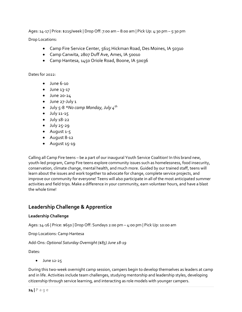Ages: 14-17 | Price: \$215/week | Drop Off: 7:00 am – 8:00 am | Pick Up: 4:30 pm – 5:30 pm

Drop Locations:

- Camp Fire Service Center, 5615 Hickman Road, Des Moines, IA 50310
- Camp Canwita, 2807 Duff Ave, Ames, IA 50010
- Camp Hantesa, 1450 Oriole Road, Boone, IA 50036

Dates for 2022:

- $\bullet$  June 6-10
- $\bullet$  June 13-17
- June 20-24
- June 27-July 1
- July 5-8 \*No camp Monday, July  $4^{th}$
- $\bullet$  July 11-15
- $\bullet$  July 18-22
- $\bullet$  July 25-29
- August 1-5
- August 8-12
- August 15-19

Calling all Camp Fire teens – be a part of our inaugural Youth Service Coalition! In this brand new, youth-led program, Camp Fire teens explore community issues such as homelessness, food insecurity, conservation, climate change, mental health, and much more. Guided by our trained staff, teens will learn about the issues and work together to advocate for change, complete service projects, and improve our community for everyone! Teens will also participate in all of the most anticipated summer activities and field trips. Make a difference in your community, earn volunteer hours, and have a blast the whole time!

## Leadership Challenge & Apprentice

#### Leadership Challenge

Ages: 14-16 | Price: \$650 | Drop Off: Sundays 2:00 pm – 4:00 pm | Pick Up: 10:00 am

Drop Locations: Camp Hantesa

Add-Ons: Optional Saturday Overnight (\$85) June 18-19

Dates:

 $\bullet$  June 12-25

During this two-week overnight camp session, campers begin to develop themselves as leaders at camp and in life. Activities include team challenges, studying mentorship and leadership styles, developing citizenship through service learning, and interacting as role models with younger campers.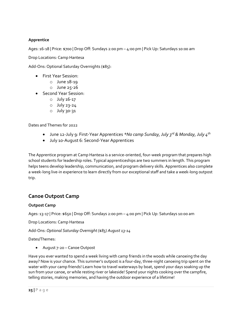#### Apprentice

Ages: 16-18 | Price: \$700 | Drop Off: Sundays 2:00 pm – 4:00 pm | Pick Up: Saturdays 10:00 am

Drop Locations: Camp Hantesa

Add-Ons: Optional Saturday Overnights (\$85):

- First Year Session:
	- o June 18-19
	- o June 25-26
- Second Year Session:
	- o July 16-17
	- o July 23-24
	- o July 30-31

Dates and Themes for 2022

- June 12-July 9: First-Year Apprentices \*No camp Sunday, July 3<sup>rd</sup> & Monday, July 4<sup>th</sup>
- July 10-August 6: Second-Year Apprentices

The Apprentice program at Camp Hantesa is a service-oriented, four-week program that prepares high school students for leadership roles. Typical apprenticeships are two summers in length. This program helps teens develop leadership, communication, and program delivery skills. Apprentices also complete a week-long live-in experience to learn directly from our exceptional staff and take a week-long outpost trip.

### Canoe Outpost Camp

#### Outpost Camp

Ages: 13-17 | Price: \$650 | Drop Off: Sundays 2:00 pm – 4:00 pm | Pick Up: Saturdays 10:00 am

Drop Locations: Camp Hantesa

Add-Ons: Optional Saturday Overnight (\$85) August 13-14

Dates/Themes:

August 7-20 – Canoe Outpost

Have you ever wanted to spend a week living with camp friends in the woods while canoeing the day away? Now is your chance. This summer's outpost is a four-day, three-night canoeing trip spent on the water with your camp friends! Learn how to travel waterways by boat, spend your days soaking up the sun from your canoe, or while resting river or lakeside! Spend your nights cooking over the campfire, telling stories, making memories, and having the outdoor experience of a lifetime!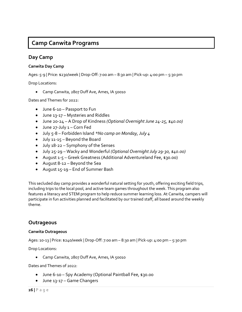## Camp Canwita Programs

### Day Camp

#### Canwita Day Camp

Ages: 5-9 | Price: \$230/week | Drop-Off: 7:00 am – 8:30 am | Pick-up: 4:00 pm – 5:30 pm

Drop Locations:

Camp Canwita, 2807 Duff Ave, Ames, IA 50010

Dates and Themes for 2022:

- June 6-10 Passport to Fun
- June 13-17 Mysteries and Riddles
- June 20-24 A Drop of Kindness (Optional Overnight June 24-25, \$40.00)
- June 27-July 1 Corn Fed
- July 5-8 Forbidden Island \*No camp on Monday, July 4
- July 11-15 Beyond the Board
- July 18-22 Symphony of the Senses
- July 25-29 Wacky and Wonderful (Optional Overnight July 29-30, \$40.00)
- August 1-5 Greek Greatness (Additional Adventureland Fee, \$30.00)
- August 8-12 Beyond the Sea
- August 15-19 End of Summer Bash

This secluded day camp provides a wonderful natural setting for youth, offering exciting field trips, including trips to the local pool, and active team games throughout the week. This program also features a literacy and STEM program to help reduce summer learning loss. At Canwita, campers will participate in fun activities planned and facilitated by our trained staff, all based around the weekly theme.

### **Outrageous**

#### Canwita Outrageous

Ages: 10-13 | Price: \$240/week | Drop-Off: 7:00 am – 8:30 am | Pick-up: 4:00 pm – 5:30 pm

Drop Locations:

• Camp Canwita, 2807 Duff Ave, Ames, IA 50010

Dates and Themes of 2022:

- June 6-10 Spy Academy (Optional Paintball Fee, \$30.00
- June 13-17 Game Changers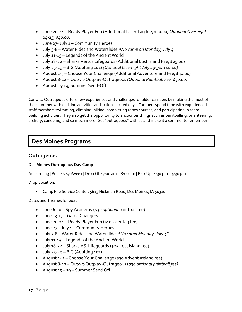- June 20-24 Ready Player Fun (Additional Laser Tag fee, \$10.00; Optional Overnight 24-25, \$40.00)
- June 27- July 1 Community Heroes
- July 5-8 Water Rides and Waterslides \*No camp on Monday, July 4
- July 11-15 Legends of the Ancient World
- July 18-22 Sharks Versus Lifeguards (Additional Lost Island Fee, \$25.00)
- July 25-29 BIG (Adulting 101) (Optional Overnight July 29-30, \$40.00)
- August 1-5 Choose Your Challenge (Additional Adventureland Fee, \$30.00)
- August 8-12 Outwit-Outplay-Outrageous (Optional Paintball Fee, \$30.00)
- August 15-19, Summer Send-Off

Canwita Outrageous offers new experiences and challenges for older campers by making the most of their summer with exciting activities and action-packed days. Campers spend time with experienced staff members swimming, climbing, hiking, completing ropes courses, and participating in teambuilding activities. They also get the opportunity to encounter things such as paintballing, orienteering, archery, canoeing, and so much more. Get "outrageous" with us and make it a summer to remember!

## Des Moines Programs

### **Outrageous**

#### Des Moines Outrageous Day Camp

Ages: 10-13 | Price: \$240/week | Drop Off: 7:00 am – 8:00 am | Pick Up: 4:30 pm – 5:30 pm

Drop Location:

Camp Fire Service Center, 5615 Hickman Road, Des Moines, IA 50310

Dates and Themes for 2022:

- June 6-10 Spy Academy (\$30 optional paintball fee)
- June 13-17 Game Changers
- June 20-24 Ready Player Fun (\$10 laser tag fee)
- June 27 July 1 Community Heroes
- $\bullet$  July 5-8 Water Rides and Waterslides \*No camp Monday, July  $4^{th}$
- July 11-15 Legends of the Ancient World
- July 18-22 Sharks VS. Lifeguards (\$25 Lost Island fee)
- July 25-29 BIG (Adulting 101)
- August 1- 5 Choose Your Challenge (\$30 Adventureland fee)
- August 8-12 Outwit-Outplay-Outrageous (\$30 optional paintball fee)
- August 15 19 Summer Send Off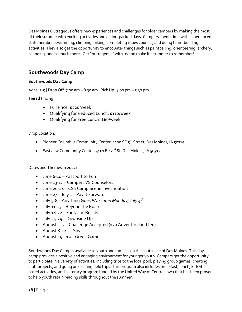Des Moines Outrageous offers new experiences and challenges for older campers by making the most of their summer with exciting activities and action-packed days. Campers spend time with experienced staff members swimming, climbing, hiking, completing ropes courses, and doing team-building activities. They also get the opportunity to encounter things such as paintballing, orienteering, archery, canoeing, and so much more. Get "outrageous" with us and make it a summer to remember!

## Southwoods Day Camp

#### Southwoods Day Camp

Ages: 5-9 | Drop Off: 7:00 am – 8:30 am | Pick Up: 4:00 pm – 5:30 pm

Tiered Pricing:

- Full Price: \$220/week
- Qualifying for Reduced Lunch: \$110/week
- Qualifying for Free Lunch: \$80/week

Drop Location:

- Pioneer Columbus Community Center, 2100 SE 5<sup>th</sup> Street, Des Moines, IA 50315
- **Eastview Community Center, 4101 E 42<sup>nd</sup> St, Des Moines, IA 50317**

Dates and Themes in 2022:

- June 6-10 Passport to Fun
- June 13-17 Campers VS Counselors
- June 20-24 CSI: Camp Scene Investigation
- June 27 July 1 Pay It Forward
- July 5-8 Anything Goes \*No camp Monday, July  $4^{th}$
- July 11-15 Beyond the Board
- July 18-22 Fantastic Beasts
- July 25-29 Downside Up
- August 1- 5 Challenge Accepted (\$30 Adventureland fee)
- August 8-12 I-Spy
- August 15 19 Greek Games

Southwoods Day Camp is available to youth and families on the south side of Des Moines. This day camp provides a positive and engaging environment for younger youth. Campers get the opportunity to participate in a variety of activities, including trips to the local pool, playing group games, creating craft projects, and going on exciting field trips. This program also includes breakfast, lunch, STEMbased activities, and a literacy program funded by the United Way of Central Iowa that has been proven to help youth retain reading skills throughout the summer.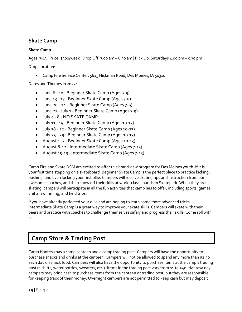### Skate Camp

#### Skate Camp

Ages: 7-13 | Price: \$300/week | Drop Off: 7:00 am – 8:30 am | Pick Up: Saturdays 4:00 pm – 5:30 pm

Drop Location:

Camp Fire Service Center, 5615 Hickman Road, Des Moines, IA 50310

Dates and Themes in 2022:

- June 6 10 Beginner Skate Camp (Ages 7-9)
- June 13 17 Beginner Skate Camp (Ages 7-9)
- June 20 24 Beginner Skate Camp (Ages 7-9)
- June 27 July 1 Beginner Skate Camp (Ages 7-9)
- July 4 8 NO SKATE CAMP
- July 11 15 Beginner Skate Camp (Ages 10-13)
- July 18 22 Beginner Skate Camp (Ages 10-13)
- July 25 29 Beginner Skate Camp (Ages 10-13)
- August 1 -5 Beginner Skate Camp (Ages 10-13)
- August 8-12 Intermediate Skate Camp (Ages 7-13)
- August 15-19 Intermediate Skate Camp (Ages 7-13)

Camp Fire and Skate DSM are excited to offer this brand-new program for Des Moines youth! If it is your first time stepping on a skateboard, Beginner Skate Camp is the perfect place to practice kicking, pushing, and even locking your first ollie. Campers will receive skating tips and instruction from our awesome coaches, and then show off their skills at world-class Lauridsen Skatepark. When they aren't skating, campers will participate in all the fun activities that camp has to offer, including sports, games, crafts, swimming, and field trips.

If you have already perfected your ollie and are hoping to learn some more advanced tricks, Intermediate Skate Camp is a great way to improve your skate skills. Campers will skate with their peers and practice with coaches to challenge themselves safely and progress their skills. Come roll with us!

## Camp Store & Trading Post

Camp Hantesa has a camp canteen and a camp trading post. Campers will have the opportunity to purchase snacks and drinks at the canteen. Campers will not be allowed to spend any more than \$2.50 each day on snack food. Campers will also have the opportunity to purchase items at the camp's trading post (t-shirts, water bottles, sweaters, etc.). Items in the trading post vary from \$1 to \$40. Hantesa day campers may bring cash to purchase items from the canteen or trading post, but they are responsible for keeping track of their money. Overnight campers are not permitted to keep cash but may deposit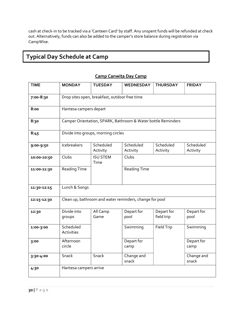cash at check-in to be tracked via a 'Canteen Card' by staff. Any unspent funds will be refunded at check out. Alternatively, funds can also be added to the camper's store balance during registration via CampWise.

## Typical Day Schedule at Camp

| <b>TIME</b> | <b>MONDAY</b>           | <b>TUESDAY</b>                                               | WEDNESDAY                                               | <b>THURSDAY</b>          | <b>FRIDAY</b>         |  |  |  |
|-------------|-------------------------|--------------------------------------------------------------|---------------------------------------------------------|--------------------------|-----------------------|--|--|--|
| 7:00-8:30   |                         | Drop sites open, breakfast, outdoor free time                |                                                         |                          |                       |  |  |  |
| 8:00        | Hantesa campers depart  |                                                              |                                                         |                          |                       |  |  |  |
| 8:30        |                         | Camper Orientation, SPARK, Bathroom & Water bottle Reminders |                                                         |                          |                       |  |  |  |
| 8:45        |                         | Divide into groups, morning circles                          |                                                         |                          |                       |  |  |  |
| 9:00-9:50   | Icebreakers             | Scheduled<br>Activity                                        | Scheduled<br>Activity                                   | Scheduled<br>Activity    | Scheduled<br>Activity |  |  |  |
| 10:00-10:50 | Clubs                   | <b>ISU STEM</b><br>Time                                      | Clubs                                                   |                          |                       |  |  |  |
| 11:00-11:30 | <b>Reading Time</b>     |                                                              | <b>Reading Time</b>                                     |                          |                       |  |  |  |
| 11:30-12:15 | Lunch & Songs           |                                                              |                                                         |                          |                       |  |  |  |
| 12:15-12:30 |                         |                                                              | Clean up, bathroom and water reminders, change for pool |                          |                       |  |  |  |
| 12:30       | Divide into<br>groups   | All Camp<br>Game                                             | Depart for<br>pool                                      | Depart for<br>field trip | Depart for<br>pool    |  |  |  |
| 1:00-3:00   | Scheduled<br>Activities |                                                              | Swimming                                                | Field Trip               | Swimming              |  |  |  |
| 3:00        | Afternoon<br>circle     |                                                              | Depart for<br>camp                                      |                          | Depart for<br>camp    |  |  |  |
| 3:30-4:00   | Snack                   | Snack                                                        | Change and<br>snack                                     |                          | Change and<br>snack   |  |  |  |
| 4:30        | Hantesa campers arrive  |                                                              |                                                         |                          |                       |  |  |  |

#### Camp Canwita Day Camp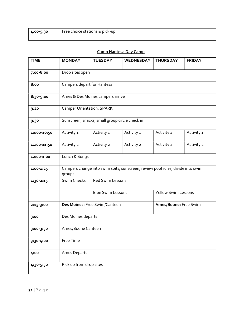| 4:00-5:30 | Free choice stations & pick-up |
|-----------|--------------------------------|
|           |                                |

### Camp Hantesa Day Camp

| <b>TIME</b> | <b>MONDAY</b>                    | <b>TUESDAY</b>                                 | <b>WEDNESDAY</b>                                                               | <b>THURSDAY</b>            | <b>FRIDAY</b> |  |  |  |
|-------------|----------------------------------|------------------------------------------------|--------------------------------------------------------------------------------|----------------------------|---------------|--|--|--|
| 7:00-8:00   |                                  | Drop sites open                                |                                                                                |                            |               |  |  |  |
| 8:00        |                                  | Campers depart for Hantesa                     |                                                                                |                            |               |  |  |  |
| 8:30-9:00   |                                  | Ames & Des Moines campers arrive               |                                                                                |                            |               |  |  |  |
| 9:20        | <b>Camper Orientation, SPARK</b> |                                                |                                                                                |                            |               |  |  |  |
| 9:30        |                                  | Sunscreen, snacks, small group circle check in |                                                                                |                            |               |  |  |  |
| 10:00-10:50 | Activity 1                       | Activity 1                                     | Activity 1                                                                     | Activity 1                 | Activity 1    |  |  |  |
| 11:00-11:50 | Activity 2                       | Activity 2                                     | Activity 2                                                                     | Activity 2                 | Activity 2    |  |  |  |
| 12:00-1:00  | Lunch & Songs                    |                                                |                                                                                |                            |               |  |  |  |
| 1:00-1:25   | groups                           |                                                | Campers change into swim suits, sunscreen, review pool rules, divide into swim |                            |               |  |  |  |
| 1:30-2:15   | <b>Swim Checks</b>               | <b>Red Swim Lessons</b>                        |                                                                                |                            |               |  |  |  |
|             |                                  | <b>Blue Swim Lessons</b>                       |                                                                                | <b>Yellow Swim Lessons</b> |               |  |  |  |
| 2:15-3:00   |                                  | Des Moines: Free Swim/Canteen                  |                                                                                | Ames/Boone: Free Swim      |               |  |  |  |
| 3:00        | Des Moines departs               |                                                |                                                                                |                            |               |  |  |  |
| 3:00-3:30   | Ames/Boone Canteen               |                                                |                                                                                |                            |               |  |  |  |
| 3:30-4:00   | Free Time                        |                                                |                                                                                |                            |               |  |  |  |
| 4:00        | <b>Ames Departs</b>              |                                                |                                                                                |                            |               |  |  |  |
| 4:30-5:30   | Pick up from drop sites          |                                                |                                                                                |                            |               |  |  |  |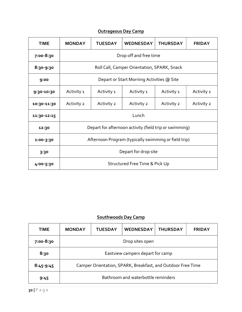| <b>Outrageous Day Camp</b> |  |  |
|----------------------------|--|--|
|                            |  |  |

| <b>TIME</b> | <b>MONDAY</b>        | <b>TUESDAY</b>                                       | <b>WEDNESDAY</b>                                       | <b>THURSDAY</b> | <b>FRIDAY</b> |  |  |  |
|-------------|----------------------|------------------------------------------------------|--------------------------------------------------------|-----------------|---------------|--|--|--|
| 7:00-8:30   |                      | Drop off and free time                               |                                                        |                 |               |  |  |  |
| 8:30-9:30   |                      |                                                      | Roll Call, Camper Orientation, SPARK, Snack            |                 |               |  |  |  |
| 9:00        |                      |                                                      | Depart or Start Morning Activities @ Site              |                 |               |  |  |  |
| 9:30-10:30  | Activity 1           | Activity 1                                           | Activity 1                                             | Activity 1      | Activity 1    |  |  |  |
| 10:30-11:30 | Activity 2           | Activity 2                                           | Activity 2                                             | Activity 2      | Activity 2    |  |  |  |
| 11:30-12:15 |                      | Lunch                                                |                                                        |                 |               |  |  |  |
| 12:30       |                      |                                                      | Depart for afternoon activity (field trip or swimming) |                 |               |  |  |  |
| 1:00-3:30   |                      | Afternoon Program (typically swimming or field trip) |                                                        |                 |               |  |  |  |
| 3:30        | Depart for drop site |                                                      |                                                        |                 |               |  |  |  |
| 4:00-5:30   |                      |                                                      | Structured Free Time & Pick Up                         |                 |               |  |  |  |

### Southwoods Day Camp

| <b>TIME</b> | <b>MONDAY</b>                                               | <b>TUESDAY</b> | <b>WEDNESDAY</b> | <b>THURSDAY</b> | <b>FRIDAY</b> |  |
|-------------|-------------------------------------------------------------|----------------|------------------|-----------------|---------------|--|
| 7:00-8:30   | Drop sites open                                             |                |                  |                 |               |  |
| 8:30        | Eastview campers depart for camp                            |                |                  |                 |               |  |
| $8:45-9:45$ | Camper Orientation, SPARK, Breakfast, and Outdoor Free Time |                |                  |                 |               |  |
| 9:45        | Bathroom and waterbottle reminders                          |                |                  |                 |               |  |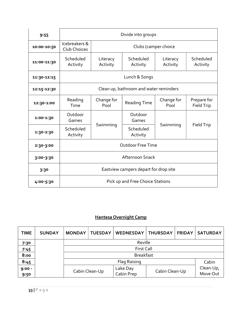| 9:55        |                                        | Divide into groups                    |                                  |                    |                           |  |  |
|-------------|----------------------------------------|---------------------------------------|----------------------------------|--------------------|---------------------------|--|--|
| 10:00-10:50 | Icebreakers &<br>Club Choices          | Clubs (camper choice                  |                                  |                    |                           |  |  |
| 11:00-11:30 | Scheduled<br>Activity                  | Literacy<br>Activity                  | Scheduled<br>Activity            |                    | Scheduled<br>Activity     |  |  |
| 11:30-12:15 | Lunch & Songs                          |                                       |                                  |                    |                           |  |  |
| 12:15-12:30 | Clean up, bathroom and water reminders |                                       |                                  |                    |                           |  |  |
| 12:30-1:00  | Reading<br>Time                        | Change for<br>Pool                    | <b>Reading Time</b>              | Change for<br>Pool | Prepare for<br>Field Trip |  |  |
| 1:00-1:30   | Outdoor<br>Games                       |                                       | Outdoor<br>Games                 |                    |                           |  |  |
| 1:30-2:30   | Scheduled<br>Activity                  | Swimming                              | Scheduled<br>Activity            | Swimming           | Field Trip                |  |  |
| 2:30-3:00   | <b>Outdoor Free Time</b>               |                                       |                                  |                    |                           |  |  |
| 3:00-3:30   | Afternoon Snack                        |                                       |                                  |                    |                           |  |  |
| 3:30        |                                        | Eastview campers depart for drop site |                                  |                    |                           |  |  |
| 4:00-5:30   |                                        |                                       | Pick up and Free Choice Stations |                    |                           |  |  |

## Hantesa Overnight Camp

| <b>TIME</b> | <b>SUNDAY</b> | <b>MONDAY</b> | <b>TUESDAY</b>        | <b>WEDNESDAY</b> | <b>THURSDAY</b> | <b>FRIDAY</b> | <b>SATURDAY</b> |
|-------------|---------------|---------------|-----------------------|------------------|-----------------|---------------|-----------------|
| 7:30        |               |               | Reville               |                  |                 |               |                 |
| 7:45        |               |               | <b>First Call</b>     |                  |                 |               |                 |
| 8:00        |               |               | <b>Breakfast</b>      |                  |                 |               |                 |
| 8:45        |               |               | Flag Raising<br>Cabin |                  |                 |               |                 |
| $9:00 -$    |               |               | Cabin Clean-Up        | Lake Day         | Cabin Clean-Up  |               | Clean-Up,       |
| 9:50        |               |               |                       | Cabin Prep       |                 |               | Move Out        |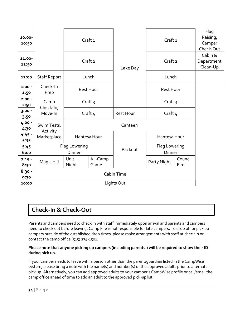| 10:00-<br>10:50  |                         |                        | Craft <sub>1</sub> |            | Craft <sub>1</sub> |                 | Flag<br>Raising,<br>Camper<br>Check-Out |
|------------------|-------------------------|------------------------|--------------------|------------|--------------------|-----------------|-----------------------------------------|
| 11:00-<br>11:50  |                         |                        | Craft <sub>2</sub> | Lake Day   | Craft <sub>2</sub> |                 | Cabin &<br>Department<br>Clean-Up       |
| 12:00            | <b>Staff Report</b>     |                        | Lunch              |            | Lunch              |                 |                                         |
| $1:00 -$<br>1:50 | Check-In<br>Prep        | Rest Hour<br>Craft $3$ |                    |            | <b>Rest Hour</b>   |                 |                                         |
| $2:00 -$<br>2:50 | Camp<br>Check-In,       |                        |                    |            | Craft $3$          |                 |                                         |
| $3:00 -$<br>3:50 | Move-In                 |                        | Craft $4$          |            | Craft $4$          |                 |                                         |
| 4:00 -<br>4:30   | Swim Tests,<br>Activity |                        |                    | Canteen    |                    |                 |                                         |
| $4:45 -$<br>5:35 | Marketplace             |                        | Hantesa Hour       |            | Hantesa Hour       |                 |                                         |
| 5:45             |                         | Flag Lowering          |                    |            | Flag Lowering      |                 |                                         |
| 6:00             |                         | Dinner                 |                    | Packout    | Dinner             |                 |                                         |
| $7:15 -$<br>8:30 | Magic Hill              | Unit<br>Night          | All-Camp<br>Game   |            | Party Night        | Council<br>Fire |                                         |
| $8:30 -$<br>9:30 | Cabin Time              |                        |                    |            |                    |                 |                                         |
| 10:00            |                         |                        |                    | Lights Out |                    |                 |                                         |

## Check-In & Check-Out

Parents and campers need to check in with staff immediately upon arrival and parents and campers need to check out before leaving. Camp Fire is not responsible for late campers. To drop off or pick up campers outside of the established drop times, please make arrangements with staff at check in or contact the camp office (515) 274-1501.

#### Please note that anyone picking up campers (including parents!) will be required to show their ID during pick up.

If your camper needs to leave with a person other than the parent/guardian listed in the CampWise system, please bring a note with the name(s) and number(s) of the approved adults prior to alternate pick up. Alternatively, you can add approved adults to your camper's CampWise profile or call/email the camp office ahead of time to add an adult to the approved pick-up list.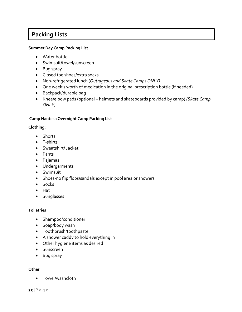## Packing Lists

#### Summer Day Camp Packing List

- Water bottle
- Swimsuit/towel/sunscreen
- Bug spray
- Closed toe shoes/extra socks
- Non-refrigerated lunch (Outrageous and Skate Camps ONLY)
- One week's worth of medication in the original prescription bottle (if needed)
- Backpack/durable bag
- Knee/elbow pads (optional helmets and skateboards provided by camp) (Skate Camp ONLY)

#### Camp Hantesa Overnight Camp Packing List

#### Clothing:

- Shorts
- T-shirts
- Sweatshirt/ Jacket
- Pants
- Pajamas
- Undergarments
- Swimsuit
- Shoes-no flip flops/sandals except in pool area or showers
- Socks
- $\bullet$  Hat
- **•** Sunglasses

#### **Toiletries**

- Shampoo/conditioner
- Soap/body wash
- Toothbrush/toothpaste
- A shower caddy to hold everything in
- Other hygiene items as desired
- **•** Sunscreen
- Bug spray

#### **Other**

Towel/washcloth